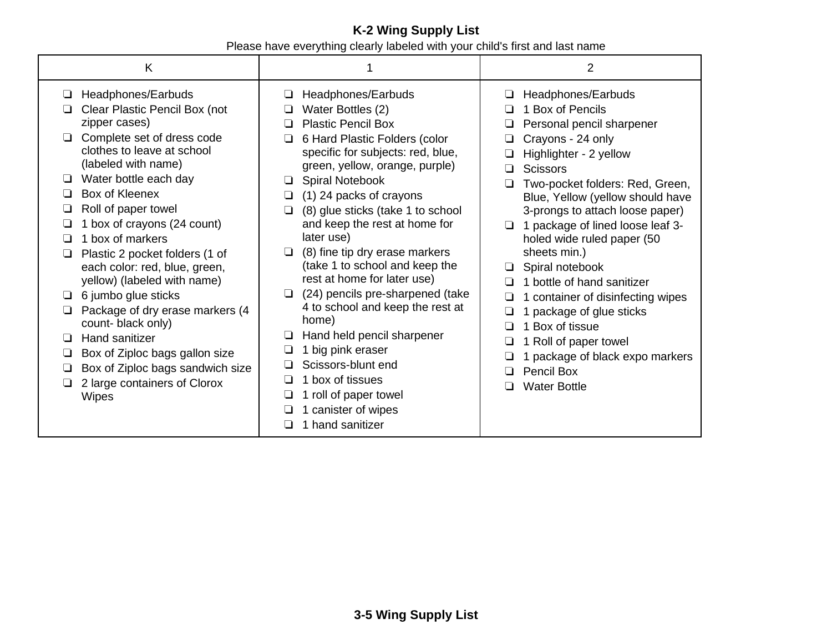## **K-2 Wing Supply List** Please have everything clearly labeled with your child's first and last name

| K                                                                                                                                                                                                                                                                                                                                                                                                                                                                                                                                                                                                                                        |                                                                                                                                                                                                                                                                                                                                                                                                                                                                                                                                                                                                                                                                                                                            | $\overline{2}$                                                                                                                                                                                                                                                                                                                                                                                                                                                                                                                                                                                                  |  |
|------------------------------------------------------------------------------------------------------------------------------------------------------------------------------------------------------------------------------------------------------------------------------------------------------------------------------------------------------------------------------------------------------------------------------------------------------------------------------------------------------------------------------------------------------------------------------------------------------------------------------------------|----------------------------------------------------------------------------------------------------------------------------------------------------------------------------------------------------------------------------------------------------------------------------------------------------------------------------------------------------------------------------------------------------------------------------------------------------------------------------------------------------------------------------------------------------------------------------------------------------------------------------------------------------------------------------------------------------------------------------|-----------------------------------------------------------------------------------------------------------------------------------------------------------------------------------------------------------------------------------------------------------------------------------------------------------------------------------------------------------------------------------------------------------------------------------------------------------------------------------------------------------------------------------------------------------------------------------------------------------------|--|
| Headphones/Earbuds<br>⊔<br>Clear Plastic Pencil Box (not<br>zipper cases)<br>Complete set of dress code<br>clothes to leave at school<br>(labeled with name)<br>Water bottle each day<br>□<br>Box of Kleenex<br>Roll of paper towel<br>1 box of crayons (24 count)<br>1 box of markers<br>ப<br>Plastic 2 pocket folders (1 of<br>⊔<br>each color: red, blue, green,<br>yellow) (labeled with name)<br>6 jumbo glue sticks<br>⊔<br>Package of dry erase markers (4<br>count-black only)<br>Hand sanitizer<br>$\Box$<br>Box of Ziploc bags gallon size<br>Box of Ziploc bags sandwich size<br>2 large containers of Clorox<br><b>Wipes</b> | Headphones/Earbuds<br>⊔<br>Water Bottles (2)<br><b>Plastic Pencil Box</b><br>$\Box$<br>6 Hard Plastic Folders (color<br>ப<br>specific for subjects: red, blue,<br>green, yellow, orange, purple)<br>Spiral Notebook<br>❏<br>(1) 24 packs of crayons<br>❏<br>(8) glue sticks (take 1 to school<br>❏<br>and keep the rest at home for<br>later use)<br>(8) fine tip dry erase markers<br>□<br>(take 1 to school and keep the<br>rest at home for later use)<br>(24) pencils pre-sharpened (take<br>❏<br>4 to school and keep the rest at<br>home)<br>Hand held pencil sharpener<br>ப<br>big pink eraser<br>❏<br>Scissors-blunt end<br>box of tissues<br>⊔<br>roll of paper towel<br>ப<br>canister of wipes<br>hand sanitizer | Headphones/Earbuds<br>⊔<br>1 Box of Pencils<br>Personal pencil sharpener<br>Crayons - 24 only<br>Highlighter - 2 yellow<br><b>Scissors</b><br>П<br>Two-pocket folders: Red, Green,<br>□<br>Blue, Yellow (yellow should have<br>3-prongs to attach loose paper)<br>1 package of lined loose leaf 3-<br>$\Box$<br>holed wide ruled paper (50<br>sheets min.)<br>Spiral notebook<br>1 bottle of hand sanitizer<br>1 container of disinfecting wipes<br>1 package of glue sticks<br>1 Box of tissue<br>1 Roll of paper towel<br>1 package of black expo markers<br>Pencil Box<br>$\Box$<br><b>Water Bottle</b><br>□ |  |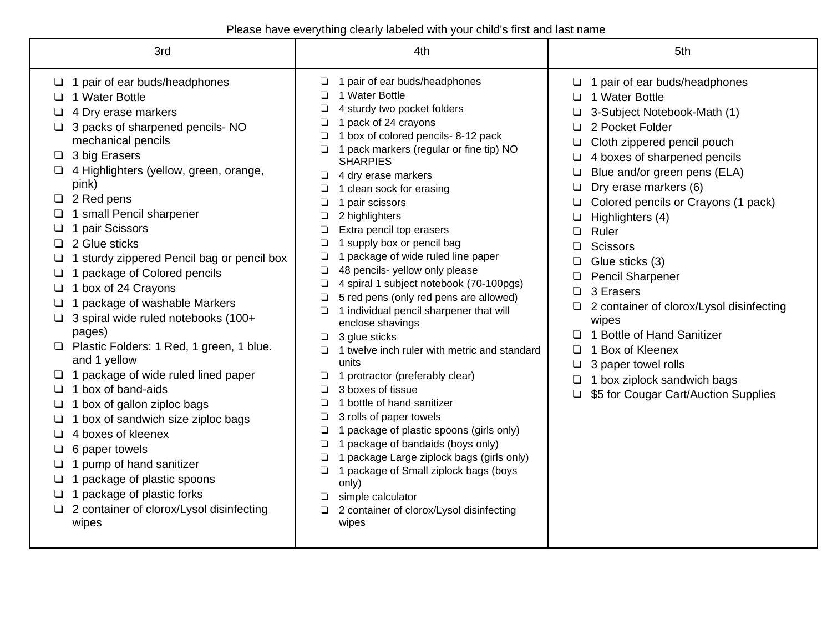Please have everything clearly labeled with your child's first and last name

| 3rd                                                                                                                                                                                                                                                                                                                                                                                                                                                                                                                                                                                                                                                                                                                                                                                                                                                                                                     | 4th                                                                                                                                                                                                                                                                                                                                                                                                                                                                                                                                                                                                                                                                                                                                                                                                                                                                                                                                                                                                                                                                                                                                                | 5th                                                                                                                                                                                                                                                                                                                                                                                                                                                                                                                                                                                                  |  |
|---------------------------------------------------------------------------------------------------------------------------------------------------------------------------------------------------------------------------------------------------------------------------------------------------------------------------------------------------------------------------------------------------------------------------------------------------------------------------------------------------------------------------------------------------------------------------------------------------------------------------------------------------------------------------------------------------------------------------------------------------------------------------------------------------------------------------------------------------------------------------------------------------------|----------------------------------------------------------------------------------------------------------------------------------------------------------------------------------------------------------------------------------------------------------------------------------------------------------------------------------------------------------------------------------------------------------------------------------------------------------------------------------------------------------------------------------------------------------------------------------------------------------------------------------------------------------------------------------------------------------------------------------------------------------------------------------------------------------------------------------------------------------------------------------------------------------------------------------------------------------------------------------------------------------------------------------------------------------------------------------------------------------------------------------------------------|------------------------------------------------------------------------------------------------------------------------------------------------------------------------------------------------------------------------------------------------------------------------------------------------------------------------------------------------------------------------------------------------------------------------------------------------------------------------------------------------------------------------------------------------------------------------------------------------------|--|
| 1 pair of ear buds/headphones<br>⊔<br>1 Water Bottle<br>4 Dry erase markers<br>3 packs of sharpened pencils- NO<br>mechanical pencils<br>3 big Erasers<br>$\Box$<br>4 Highlighters (yellow, green, orange,<br>pink)<br>$\Box$ 2 Red pens<br>1 small Pencil sharpener<br>1 pair Scissors<br>2 Glue sticks<br>1 sturdy zippered Pencil bag or pencil box<br>1 package of Colored pencils<br>1 box of 24 Crayons<br>1 package of washable Markers<br>3 spiral wide ruled notebooks (100+<br>□<br>pages)<br>Plastic Folders: 1 Red, 1 green, 1 blue.<br>and 1 yellow<br>1 package of wide ruled lined paper<br>1 box of band-aids<br>❏<br>1 box of gallon ziploc bags<br>1 box of sandwich size ziploc bags<br>4 boxes of kleenex<br>6 paper towels<br>1 pump of hand sanitizer<br>1 package of plastic spoons<br>1 package of plastic forks<br>□<br>2 container of clorox/Lysol disinfecting<br>□<br>wipes | 1 pair of ear buds/headphones<br>$\Box$<br>1 Water Bottle<br>◘<br>4 sturdy two pocket folders<br>1 pack of 24 crayons<br>$\Box$<br>1 box of colored pencils- 8-12 pack<br>❏<br>1 pack markers (regular or fine tip) NO<br>ப<br><b>SHARPIES</b><br>4 dry erase markers<br>❏<br>1 clean sock for erasing<br>1 pair scissors<br>❏<br>2 highlighters<br>❏<br>Extra pencil top erasers<br>1 supply box or pencil bag<br>❏<br>1 package of wide ruled line paper<br>❏<br>48 pencils- yellow only please<br>4 spiral 1 subject notebook (70-100pgs)<br>5 red pens (only red pens are allowed)<br>1 individual pencil sharpener that will<br>⊔<br>enclose shavings<br>3 glue sticks<br>❏<br>1 twelve inch ruler with metric and standard<br>units<br>1 protractor (preferably clear)<br>3 boxes of tissue<br>❏<br>1 bottle of hand sanitizer<br>□<br>3 rolls of paper towels<br>❏<br>1 package of plastic spoons (girls only)<br>❏<br>1 package of bandaids (boys only)<br>❏<br>1 package Large ziplock bags (girls only)<br>❏<br>1 package of Small ziplock bags (boys<br>only)<br>simple calculator<br>2 container of clorox/Lysol disinfecting<br>wipes | 1 pair of ear buds/headphones<br>1 Water Bottle<br>3-Subject Notebook-Math (1)<br>2 Pocket Folder<br>Cloth zippered pencil pouch<br>⊔<br>4 boxes of sharpened pencils<br>Blue and/or green pens (ELA)<br>Dry erase markers (6)<br>Colored pencils or Crayons (1 pack)<br>Highlighters (4)<br>Ruler<br>□<br><b>Scissors</b><br>Glue sticks (3)<br><b>Pencil Sharpener</b><br>3 Erasers<br>$\Box$<br>2 container of clorox/Lysol disinfecting<br>wipes<br>1 Bottle of Hand Sanitizer<br>1 Box of Kleenex<br>3 paper towel rolls<br>1 box ziplock sandwich bags<br>\$5 for Cougar Cart/Auction Supplies |  |